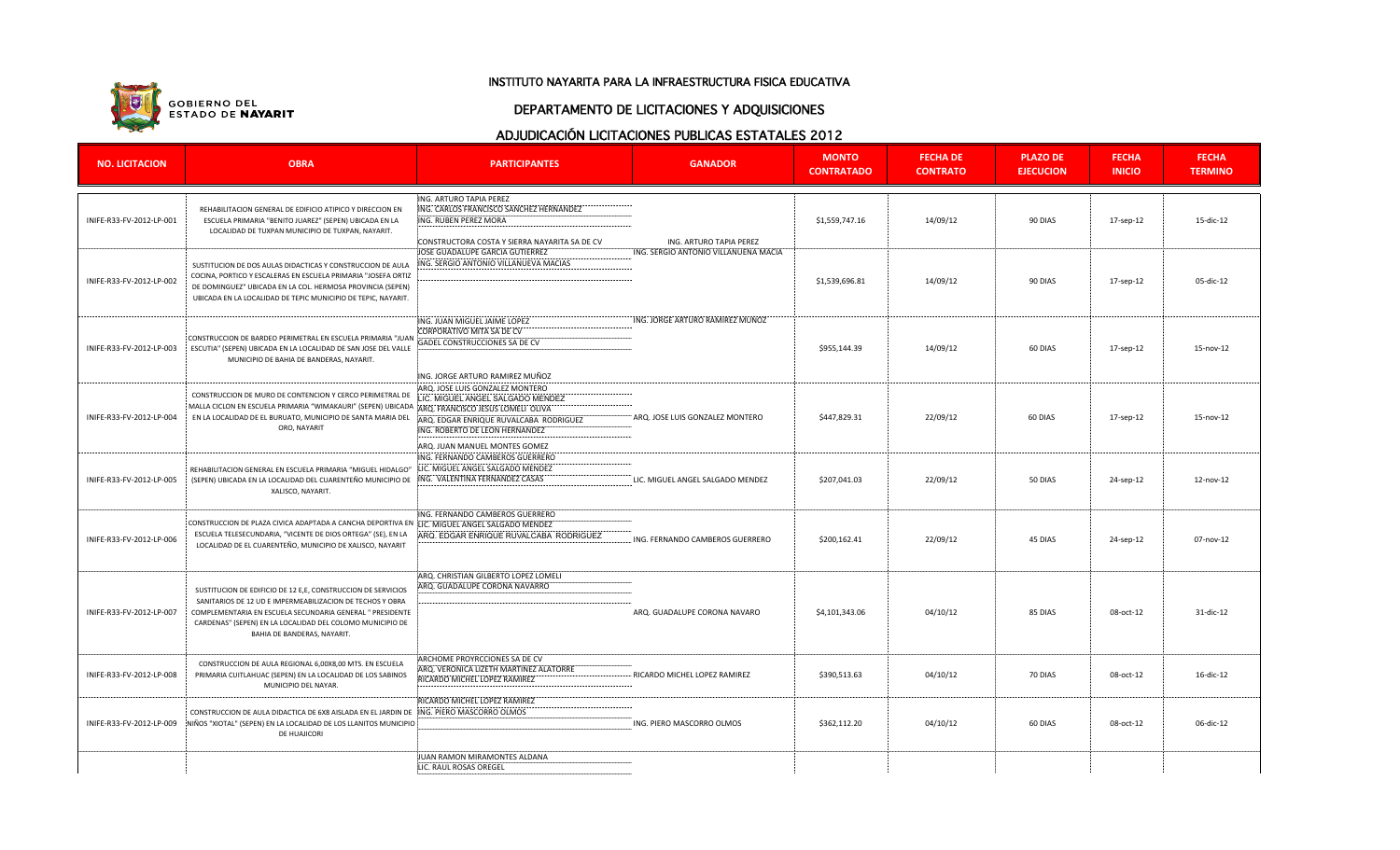

#### INSTITUTO NAYARITA PARA LA INFRAESTRUCTURA FISICA EDUCATIVA

### DEPARTAMENTO DE LICITACIONES Y ADQUISICIONES

# ADJUDICACIÓN LICITACIONES PUBLICAS ESTATALES 2012

| <b>NO. LICITACION</b>    | <b>OBRA</b>                                                                                                                                                                                                                                                | <b>PARTICIPANTES</b>                          | <b>GANADOR</b>                       | <b>MONTO</b><br><b>CONTRATADO</b> | <b>FECHA DE</b><br><b>CONTRATO</b> | <b>PLAZO DE</b><br><b>EJECUCION</b> | <b>FECHA</b><br><b>INICIO</b> | <b>FECHA</b><br><b>TERMINO</b> |
|--------------------------|------------------------------------------------------------------------------------------------------------------------------------------------------------------------------------------------------------------------------------------------------------|-----------------------------------------------|--------------------------------------|-----------------------------------|------------------------------------|-------------------------------------|-------------------------------|--------------------------------|
|                          |                                                                                                                                                                                                                                                            | ING. ARTURO TAPIA PEREZ                       |                                      |                                   |                                    |                                     |                               |                                |
| INIFE-R33-FV-2012-LP-001 | REHABILITACION GENERAL DE EDIFICIO ATIPICO Y DIRECCION EN<br>ESCUELA PRIMARIA "BENITO JUAREZ" (SEPEN) UBICADA EN LA<br>LOCALIDAD DE TUXPAN MUNICIPIO DE TUXPAN, NAYARIT.                                                                                   | ING. CARLOS FRANCISCO SANCHEZ HERNANDEZ       | ING. ARTURO TAPIA PEREZ              | \$1,559,747.16                    | 14/09/12                           | 90 DIAS                             |                               | 15-dic-12                      |
|                          |                                                                                                                                                                                                                                                            | ING. RUBEN PEREZ MORA                         |                                      |                                   |                                    |                                     | 17-sep-12                     |                                |
|                          |                                                                                                                                                                                                                                                            |                                               |                                      |                                   |                                    |                                     |                               |                                |
|                          |                                                                                                                                                                                                                                                            | CONSTRUCTORA COSTA Y SIERRA NAYARITA SA DE CV |                                      |                                   |                                    |                                     |                               |                                |
|                          |                                                                                                                                                                                                                                                            | JOSE GUADALUPE GARCIA GUTIERREZ               | ING. SERGIO ANTONIO VILLANUENA MACIA |                                   |                                    |                                     |                               |                                |
|                          | SUSTITUCION DE DOS AULAS DIDACTICAS Y CONSTRUCCION DE AULA<br>COCINA, PORTICO Y ESCALERAS EN ESCUELA PRIMARIA "JOSEFA ORTIZ<br>DE DOMINGUEZ" UBICADA EN LA COL. HERMOSA PROVINCIA (SEPEN)<br>UBICADA EN LA LOCALIDAD DE TEPIC MUNICIPIO DE TEPIC, NAYARIT. | ING. SERGIO ANTONIO VILLANUEVA MACIAS         |                                      | \$1,539,696.81                    | 14/09/12                           | 90 DIAS                             | 17-sep-12                     | 05-dic-12                      |
|                          |                                                                                                                                                                                                                                                            |                                               |                                      |                                   |                                    |                                     |                               |                                |
| INIFE-R33-FV-2012-LP-002 |                                                                                                                                                                                                                                                            |                                               |                                      |                                   |                                    |                                     |                               |                                |
|                          |                                                                                                                                                                                                                                                            |                                               |                                      |                                   |                                    |                                     |                               |                                |
|                          |                                                                                                                                                                                                                                                            |                                               |                                      |                                   |                                    |                                     |                               |                                |
|                          |                                                                                                                                                                                                                                                            | ING. JUAN MIGUEL JAIME LOPEZ                  | ING. JORGE ARTURO RAMIREZ MUÑOZ      | \$955,144.39                      | 14/09/12                           | 60 DIAS                             | 17-sep-12                     | 15-nov-12                      |
| INIFE-R33-FV-2012-LP-003 |                                                                                                                                                                                                                                                            | CORPORATIVO MITA SA DE CV                     |                                      |                                   |                                    |                                     |                               |                                |
|                          | CONSTRUCCION DE BARDEO PERIMETRAL EN ESCUELA PRIMARIA "JUAI                                                                                                                                                                                                | GADEL CONSTRUCCIONES SA DE CV                 |                                      |                                   |                                    |                                     |                               |                                |
|                          | ESCUTIA" (SEPEN) UBICADA EN LA LOCALIDAD DE SAN JOSE DEL VALLE                                                                                                                                                                                             |                                               |                                      |                                   |                                    |                                     |                               |                                |
|                          | MUNICIPIO DE BAHIA DE BANDERAS, NAYARIT.                                                                                                                                                                                                                   |                                               |                                      |                                   |                                    |                                     |                               |                                |
|                          |                                                                                                                                                                                                                                                            | ING. JORGE ARTURO RAMIREZ MUÑOZ               |                                      |                                   |                                    |                                     |                               |                                |
|                          |                                                                                                                                                                                                                                                            | ARQ. JOSE LUIS GONZALEZ MONTERO               |                                      |                                   | 22/09/12                           | 60 DIAS                             | 17-sep-12                     | 15-nov-12                      |
|                          | CONSTRUCCION DE MURO DE CONTENCION Y CERCO PERIMETRAL DE                                                                                                                                                                                                   | LIC. MIGUEL ANGEL SALGADO MENDEZ              |                                      |                                   |                                    |                                     |                               |                                |
|                          | MALLA CICLON EN ESCUELA PRIMARIA "WIMAKAURI" (SEPEN) UBICADA ¦ARQ. FRANCISCO JESUS LOMELI OLIVA                                                                                                                                                            |                                               |                                      |                                   |                                    |                                     |                               |                                |
| INIFE-R33-FV-2012-LP-004 | EN LA LOCALIDAD DE EL BURUATO, MUNICIPIO DE SANTA MARIA DEL<br>ORO, NAYARIT                                                                                                                                                                                | ARQ. EDGAR ENRIQUE RUVALCABA RODRIGUEZ        | ARQ. JOSE LUIS GONZALEZ MONTERO      | \$447,829.31                      |                                    |                                     |                               |                                |
|                          |                                                                                                                                                                                                                                                            | ING. ROBERTO DE LEON HERNANDEZ                |                                      |                                   |                                    |                                     |                               |                                |
|                          |                                                                                                                                                                                                                                                            | ARQ. JUAN MANUEL MONTES GOMEZ                 |                                      |                                   |                                    |                                     |                               |                                |
|                          |                                                                                                                                                                                                                                                            | ING. FERNANDO CAMBEROS GUERRERO               |                                      |                                   |                                    |                                     |                               |                                |
| INIFE-R33-FV-2012-LP-005 | REHABILITACION GENERAL EN ESCUELA PRIMARIA "MIGUEL HIDALGO"<br>(SEPEN) UBICADA EN LA LOCALIDAD DEL CUARENTEÑO MUNICIPIO DE : ING. VALENTINA FERNANDEZ CASAS<br>XALISCO, NAYARIT.                                                                           | LIC. MIGUEL ANGEL SALGADO MENDEZ              | LIC. MIGUEL ANGEL SALGADO MENDEZ     | \$207,041.03                      | 22/09/12                           | 50 DIAS                             | 24-sep-12                     | $12 - nov-12$                  |
|                          |                                                                                                                                                                                                                                                            |                                               |                                      |                                   |                                    |                                     |                               |                                |
|                          |                                                                                                                                                                                                                                                            |                                               |                                      |                                   |                                    |                                     |                               |                                |
|                          |                                                                                                                                                                                                                                                            |                                               |                                      |                                   |                                    |                                     |                               |                                |
|                          |                                                                                                                                                                                                                                                            | ING. FERNANDO CAMBEROS GUERRERO               |                                      |                                   |                                    |                                     |                               |                                |
| INIFE-R33-FV-2012-LP-006 | CONSTRUCCION DE PLAZA CIVICA ADAPTADA A CANCHA DEPORTIVA EN ¡LIC. MIGUEL ANGEL SALGADO MENDEZ<br>ESCUELA TELESECUNDARIA, "VICENTE DE DIOS ORTEGA" (SE), EN LA<br>LOCALIDAD DE EL CUARENTEÑO, MUNICIPIO DE XALISCO, NAYARIT                                 |                                               | ING. FERNANDO CAMBEROS GUERRERO      | \$200,162.41                      | 22/09/12                           | 45 DIAS                             | 24-sep-12                     | 07-nov-12                      |
|                          |                                                                                                                                                                                                                                                            | ARQ. EDGAR ENRIQUE RUVALCABA RODRIGUEZ        |                                      |                                   |                                    |                                     |                               |                                |
|                          |                                                                                                                                                                                                                                                            |                                               |                                      |                                   |                                    |                                     |                               |                                |
|                          |                                                                                                                                                                                                                                                            |                                               |                                      |                                   |                                    |                                     |                               |                                |
|                          |                                                                                                                                                                                                                                                            |                                               |                                      |                                   |                                    |                                     |                               |                                |
| INIFE-R33-FV-2012-LP-007 | SUSTITUCION DE EDIFICIO DE 12 E,E, CONSTRUCCION DE SERVICIOS<br>SANITARIOS DE 12 UD E IMPERMEABILIZACION DE TECHOS Y OBRA                                                                                                                                  | ARO, CHRISTIAN GILBERTO LOPEZ LOMELI          |                                      | \$4,101,343.06                    | 04/10/12                           | 85 DIAS                             | 08-oct-12                     | 31-dic-12                      |
|                          |                                                                                                                                                                                                                                                            | ARQ. GUADALUPE CORONA NAVARRO                 |                                      |                                   |                                    |                                     |                               |                                |
|                          |                                                                                                                                                                                                                                                            |                                               |                                      |                                   |                                    |                                     |                               |                                |
|                          | COMPLEMENTARIA EN ESCUELA SECUNDARIA GENERAL " PRESIDENTE                                                                                                                                                                                                  |                                               | ARQ. GUADALUPE CORONA NAVARO         |                                   |                                    |                                     |                               |                                |
|                          | CARDENAS" (SEPEN) EN LA LOCALIDAD DEL COLOMO MUNICIPIO DE                                                                                                                                                                                                  |                                               |                                      |                                   |                                    |                                     |                               |                                |
|                          | BAHIA DE BANDERAS, NAYARIT.                                                                                                                                                                                                                                |                                               |                                      |                                   |                                    |                                     |                               |                                |
|                          |                                                                                                                                                                                                                                                            |                                               |                                      |                                   |                                    |                                     |                               |                                |
|                          |                                                                                                                                                                                                                                                            | ARCHOME PROYRCCIONES SA DE CV                 |                                      |                                   |                                    |                                     |                               |                                |
| INIFE-R33-FV-2012-LP-008 | CONSTRUCCION DE AULA REGIONAL 6,00X8,00 MTS. EN ESCUELA                                                                                                                                                                                                    | ARQ. VERONICA LIZETH MARTINEZ ALATORRE        |                                      | \$390,513.63                      | 04/10/12                           | 70 DIAS                             | 08-oct-12                     | 16-dic-12                      |
|                          | PRIMARIA CUITLAHUAC (SEPEN) EN LA LOCALIDAD DE LOS SABINOS<br>MUNICIPIO DEL NAYAR.                                                                                                                                                                         | RICARDO MICHEL LOPEZ RAMIREZ                  | RICARDO MICHEL LOPEZ RAMIREZ         |                                   |                                    |                                     |                               |                                |
|                          |                                                                                                                                                                                                                                                            |                                               |                                      |                                   |                                    |                                     |                               |                                |
|                          |                                                                                                                                                                                                                                                            | RICARDO MICHEL LOPEZ RAMIREZ                  |                                      |                                   |                                    |                                     |                               |                                |
| INIFE-R33-FV-2012-LP-009 | CONSTRUCCION DE AULA DIDACTICA DE 6X8 AISLADA EN EL JARDIN DE : ING. PIERO MASCORRO OLMOS                                                                                                                                                                  |                                               |                                      | \$362,112.20                      | 04/10/12                           | 60 DIAS                             | 08-oct-12                     | 06-dic-12                      |
|                          | NIÑOS "XIOTAL" (SEPEN) EN LA LOCALIDAD DE LOS LLANITOS MUNICIPIO                                                                                                                                                                                           |                                               | ING. PIERO MASCORRO OLMOS            |                                   |                                    |                                     |                               |                                |
|                          | DE HUAJICORI                                                                                                                                                                                                                                               |                                               |                                      |                                   |                                    |                                     |                               |                                |
|                          |                                                                                                                                                                                                                                                            |                                               |                                      |                                   |                                    |                                     |                               |                                |
|                          |                                                                                                                                                                                                                                                            | JUAN RAMON MIRAMONTES ALDANA                  |                                      |                                   |                                    |                                     |                               |                                |
|                          |                                                                                                                                                                                                                                                            | LIC. RAUL ROSAS OREGEL                        |                                      |                                   |                                    |                                     |                               |                                |